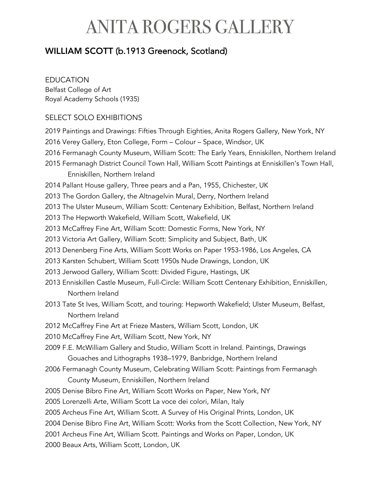#### WILLIAM SCOTT (b.1913 Greenock, Scotland)

#### EDUCATION

Belfast College of Art Royal Academy Schools (1935)

#### SELECT SOLO EXHIBITIONS

2019 Paintings and Drawings: Fifties Through Eighties, Anita Rogers Gallery, New York, NY 2016 Verey Gallery, Eton College, Form – Colour – Space, Windsor, UK 2016 Fermanagh County Museum, William Scott: The Early Years, Enniskillen, Northern Ireland 2015 Fermanagh District Council Town Hall, William Scott Paintings at Enniskillen's Town Hall, Enniskillen, Northern Ireland 2014 Pallant House gallery, Three pears and a Pan, 1955, Chichester, UK 2013 The Gordon Gallery, the Altnagelvin Mural, Derry, Northern Ireland 2013 The Ulster Museum, William Scott: Centenary Exhibition, Belfast, Northern Ireland 2013 The Hepworth Wakefield, William Scott, Wakefield, UK 2013 McCaffrey Fine Art, William Scott: Domestic Forms, New York, NY 2013 Victoria Art Gallery, William Scott: Simplicity and Subject, Bath, UK 2013 Denenberg Fine Arts, William Scott Works on Paper 1953-1986, Los Angeles, CA 2013 Karsten Schubert, William Scott 1950s Nude Drawings, London, UK 2013 Jerwood Gallery, William Scott: Divided Figure, Hastings, UK 2013 Enniskillen Castle Museum, Full-Circle: William Scott Centenary Exhibition, Enniskillen, Northern Ireland 2013 Tate St Ives, William Scott, and touring: Hepworth Wakefield; Ulster Museum, Belfast, Northern Ireland 2012 McCaffrey Fine Art at Frieze Masters, William Scott, London, UK 2010 McCaffrey Fine Art, William Scott, New York, NY 2009 F.E. McWilliam Gallery and Studio, William Scott in Ireland. Paintings, Drawings Gouaches and Lithographs 1938–1979, Banbridge, Northern Ireland 2006 Fermanagh County Museum, Celebrating William Scott: Paintings from Fermanagh County Museum, Enniskillen, Northern Ireland 2005 Denise Bibro Fine Art, William Scott Works on Paper, New York, NY 2005 Lorenzelli Arte, William Scott La voce dei colori, Milan, Italy 2005 Archeus Fine Art, William Scott. A Survey of His Original Prints, London, UK 2004 Denise Bibro Fine Art, William Scott: Works from the Scott Collection, New York, NY 2001 Archeus Fine Art, William Scott. Paintings and Works on Paper, London, UK 2000 Beaux Arts, William Scott, London, UK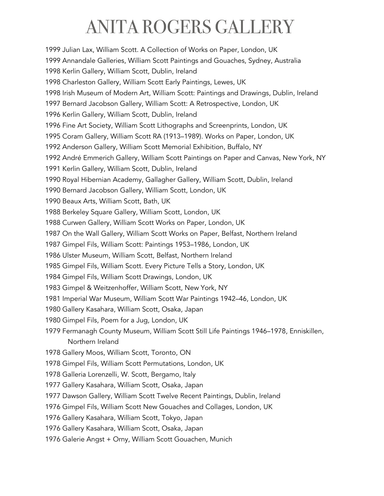1999 Julian Lax, William Scott. A Collection of Works on Paper, London, UK 1999 Annandale Galleries, William Scott Paintings and Gouaches, Sydney, Australia 1998 Kerlin Gallery, William Scott, Dublin, Ireland 1998 Charleston Gallery, William Scott Early Paintings, Lewes, UK 1998 Irish Museum of Modern Art, William Scott: Paintings and Drawings, Dublin, Ireland 1997 Bernard Jacobson Gallery, William Scott: A Retrospective, London, UK 1996 Kerlin Gallery, William Scott, Dublin, Ireland 1996 Fine Art Society, William Scott Lithographs and Screenprints, London, UK 1995 Coram Gallery, William Scott RA (1913–1989). Works on Paper, London, UK 1992 Anderson Gallery, William Scott Memorial Exhibition, Buffalo, NY 1992 André Emmerich Gallery, William Scott Paintings on Paper and Canvas, New York, NY 1991 Kerlin Gallery, William Scott, Dublin, Ireland 1990 Royal Hibernian Academy, Gallagher Gallery, William Scott, Dublin, Ireland 1990 Bernard Jacobson Gallery, William Scott, London, UK 1990 Beaux Arts, William Scott, Bath, UK 1988 Berkeley Square Gallery, William Scott, London, UK 1988 Curwen Gallery, William Scott Works on Paper, London, UK 1987 On the Wall Gallery, William Scott Works on Paper, Belfast, Northern Ireland 1987 Gimpel Fils, William Scott: Paintings 1953–1986, London, UK 1986 Ulster Museum, William Scott, Belfast, Northern Ireland 1985 Gimpel Fils, William Scott. Every Picture Tells a Story, London, UK 1984 Gimpel Fils, William Scott Drawings, London, UK 1983 Gimpel & Weitzenhoffer, William Scott, New York, NY 1981 Imperial War Museum, William Scott War Paintings 1942–46, London, UK 1980 Gallery Kasahara, William Scott, Osaka, Japan 1980 Gimpel Fils, Poem for a Jug, London, UK 1979 Fermanagh County Museum, William Scott Still Life Paintings 1946–1978, Enniskillen, Northern Ireland 1978 Gallery Moos, William Scott, Toronto, ON 1978 Gimpel Fils, William Scott Permutations, London, UK 1978 Galleria Lorenzelli, W. Scott, Bergamo, Italy 1977 Gallery Kasahara, William Scott, Osaka, Japan 1977 Dawson Gallery, William Scott Twelve Recent Paintings, Dublin, Ireland 1976 Gimpel Fils, William Scott New Gouaches and Collages, London, UK 1976 Gallery Kasahara, William Scott, Tokyo, Japan 1976 Gallery Kasahara, William Scott, Osaka, Japan 1976 Galerie Angst + Orny, William Scott Gouachen, Munich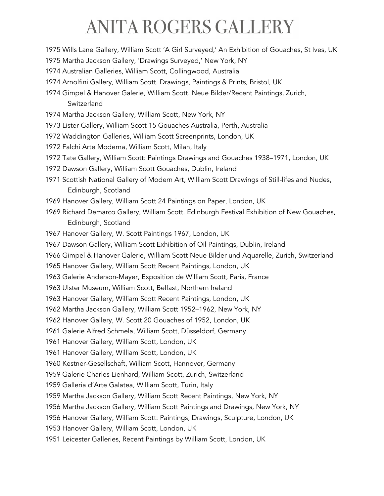- 1975 Wills Lane Gallery, William Scott 'A Girl Surveyed,' An Exhibition of Gouaches, St Ives, UK
- 1975 Martha Jackson Gallery, 'Drawings Surveyed,' New York, NY
- 1974 Australian Galleries, William Scott, Collingwood, Australia
- 1974 Arnolfini Gallery, William Scott. Drawings, Paintings & Prints, Bristol, UK
- 1974 Gimpel & Hanover Galerie, William Scott. Neue Bilder/Recent Paintings, Zurich, **Switzerland**
- 1974 Martha Jackson Gallery, William Scott, New York, NY
- 1973 Lister Gallery, William Scott 15 Gouaches Australia, Perth, Australia
- 1972 Waddington Galleries, William Scott Screenprints, London, UK
- 1972 Falchi Arte Moderna, William Scott, Milan, Italy
- 1972 Tate Gallery, William Scott: Paintings Drawings and Gouaches 1938–1971, London, UK
- 1972 Dawson Gallery, William Scott Gouaches, Dublin, Ireland
- 1971 Scottish National Gallery of Modern Art, William Scott Drawings of Still-lifes and Nudes, Edinburgh, Scotland
- 1969 Hanover Gallery, William Scott 24 Paintings on Paper, London, UK
- 1969 Richard Demarco Gallery, William Scott. Edinburgh Festival Exhibition of New Gouaches, Edinburgh, Scotland
- 1967 Hanover Gallery, W. Scott Paintings 1967, London, UK
- 1967 Dawson Gallery, William Scott Exhibition of Oil Paintings, Dublin, Ireland
- 1966 Gimpel & Hanover Galerie, William Scott Neue Bilder und Aquarelle, Zurich, Switzerland
- 1965 Hanover Gallery, William Scott Recent Paintings, London, UK
- 1963 Galerie Anderson-Mayer, Exposition de William Scott, Paris, France
- 1963 Ulster Museum, William Scott, Belfast, Northern Ireland
- 1963 Hanover Gallery, William Scott Recent Paintings, London, UK
- 1962 Martha Jackson Gallery, William Scott 1952–1962, New York, NY
- 1962 Hanover Gallery, W. Scott 20 Gouaches of 1952, London, UK
- 1961 Galerie Alfred Schmela, William Scott, Düsseldorf, Germany
- 1961 Hanover Gallery, William Scott, London, UK
- 1961 Hanover Gallery, William Scott, London, UK
- 1960 Kestner-Gesellschaft, William Scott, Hannover, Germany
- 1959 Galerie Charles Lienhard, William Scott, Zurich, Switzerland
- 1959 Galleria d'Arte Galatea, William Scott, Turin, Italy
- 1959 Martha Jackson Gallery, William Scott Recent Paintings, New York, NY
- 1956 Martha Jackson Gallery, William Scott Paintings and Drawings, New York, NY
- 1956 Hanover Gallery, William Scott: Paintings, Drawings, Sculpture, London, UK
- 1953 Hanover Gallery, William Scott, London, UK
- 1951 Leicester Galleries, Recent Paintings by William Scott, London, UK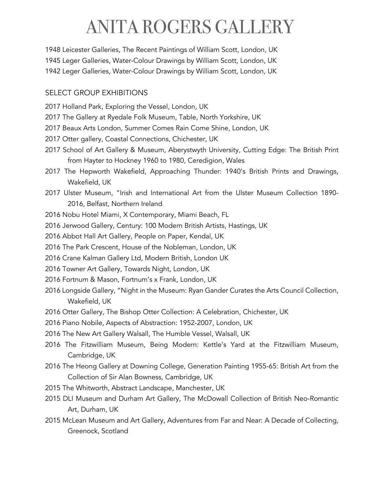1948 Leicester Galleries, The Recent Paintings of William Scott, London, UK 1945 Leger Galleries, Water-Colour Drawings by William Scott, London, UK 1942 Leger Galleries, Water-Colour Drawings by William Scott, London, UK

#### SELECT GROUP EXHIBITIONS

- 2017 Holland Park, Exploring the Vessel, London, UK
- 2017 The Gallery at Ryedale Folk Museum, Table, North Yorkshire, UK
- 2017 Beaux Arts London, Summer Comes Rain Come Shine, London, UK
- 2017 Otter gallery, Coastal Connections, Chichester, UK
- 2017 School of Art Gallery & Museum, Aberystwyth University, Cutting Edge: The British Print from Hayter to Hockney 1960 to 1980, Ceredigion, Wales
- 2017 The Hepworth Wakefield, Approaching Thunder: 1940's British Prints and Drawings, Wakefield, UK
- 2017 Ulster Museum, "Irish and International Art from the Ulster Museum Collection 1890- 2016, Belfast, Northern Ireland
- 2016 Nobu Hotel Miami, X Contemporary, Miami Beach, FL
- 2016 Jerwood Gallery, Century: 100 Modern British Artists, Hastings, UK
- 2016 Abbot Hall Art Gallery, People on Paper, Kendal, UK
- 2016 The Park Crescent, House of the Nobleman, London, UK
- 2016 Crane Kalman Gallery Ltd, Modern British, London UK
- 2016 Towner Art Gallery, Towards Night, London, UK
- 2016 Fortnum & Mason, Fortnum's x Frank, London, UK
- 2016 Longside Gallery, "Night in the Museum: Ryan Gander Curates the Arts Council Collection, Wakefield, UK
- 2016 Otter Gallery, The Bishop Otter Collection: A Celebration, Chichester, UK
- 2016 Piano Nobile, Aspects of Abstraction: 1952-2007, London, UK
- 2016 The New Art Gallery Walsall, The Humble Vessel, Walsall, UK
- 2016 The Fitzwilliam Museum, Being Modern: Kettle's Yard at the Fitzwilliam Museum, Cambridge, UK
- 2016 The Heong Gallery at Downing College, Generation Painting 1955-65: British Art from the Collection of Sir Alan Bowness, Cambridge, UK
- 2015 The Whitworth, Abstract Landscape, Manchester, UK
- 2015 DLI Museum and Durham Art Gallery, The McDowall Collection of British Neo-Romantic Art, Durham, UK
- 2015 McLean Museum and Art Gallery, Adventures from Far and Near: A Decade of Collecting, Greenock, Scotland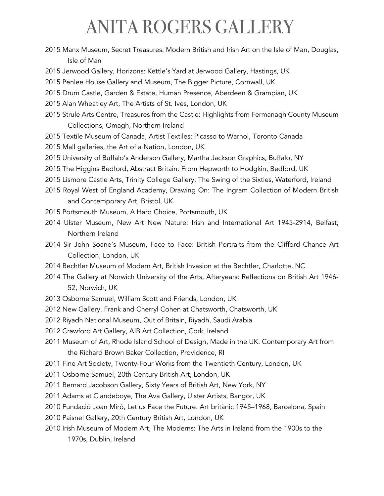- 2015 Manx Museum, Secret Treasures: Modern British and Irish Art on the Isle of Man, Douglas, Isle of Man
- 2015 Jerwood Gallery, Horizons: Kettle's Yard at Jerwood Gallery, Hastings, UK
- 2015 Penlee House Gallery and Museum, The Bigger Picture, Cornwall, UK
- 2015 Drum Castle, Garden & Estate, Human Presence, Aberdeen & Grampian, UK
- 2015 Alan Wheatley Art, The Artists of St. Ives, London, UK
- 2015 Strule Arts Centre, Treasures from the Castle: Highlights from Fermanagh County Museum Collections, Omagh, Northern Ireland
- 2015 Textile Museum of Canada, Artist Textiles: Picasso to Warhol, Toronto Canada
- 2015 Mall galleries, the Art of a Nation, London, UK
- 2015 University of Buffalo's Anderson Gallery, Martha Jackson Graphics, Buffalo, NY
- 2015 The Higgins Bedford, Abstract Britain: From Hepworth to Hodgkin, Bedford, UK
- 2015 Lismore Castle Arts, Trinity College Gallery: The Swing of the Sixties, Waterford, Ireland
- 2015 Royal West of England Academy, Drawing On: The Ingram Collection of Modern British and Contemporary Art, Bristol, UK
- 2015 Portsmouth Museum, A Hard Choice, Portsmouth, UK
- 2014 Ulster Museum, New Art New Nature: Irish and International Art 1945-2914, Belfast, Northern Ireland
- 2014 Sir John Soane's Museum, Face to Face: British Portraits from the Clifford Chance Art Collection, London, UK
- 2014 Bechtler Museum of Modern Art, British Invasion at the Bechtler, Charlotte, NC
- 2014 The Gallery at Norwich University of the Arts, Afteryears: Reflections on British Art 1946- 52, Norwich, UK
- 2013 Osborne Samuel, William Scott and Friends, London, UK
- 2012 New Gallery, Frank and Cherryl Cohen at Chatsworth, Chatsworth, UK
- 2012 Riyadh National Museum, Out of Britain, Riyadh, Saudi Arabia
- 2012 Crawford Art Gallery, AIB Art Collection, Cork, Ireland
- 2011 Museum of Art, Rhode Island School of Design, Made in the UK: Contemporary Art from the Richard Brown Baker Collection, Providence, RI
- 2011 Fine Art Society, Twenty-Four Works from the Twentieth Century, London, UK
- 2011 Osborne Samuel, 20th Century British Art, London, UK
- 2011 Bernard Jacobson Gallery, Sixty Years of British Art, New York, NY
- 2011 Adams at Clandeboye, The Ava Gallery, Ulster Artists, Bangor, UK
- 2010 Fundació Joan Miró, Let us Face the Future. Art britànic 1945–1968, Barcelona, Spain
- 2010 Paisnel Gallery, 20th Century British Art, London, UK
- 2010 Irish Museum of Modern Art, The Moderns: The Arts in Ireland from the 1900s to the 1970s, Dublin, Ireland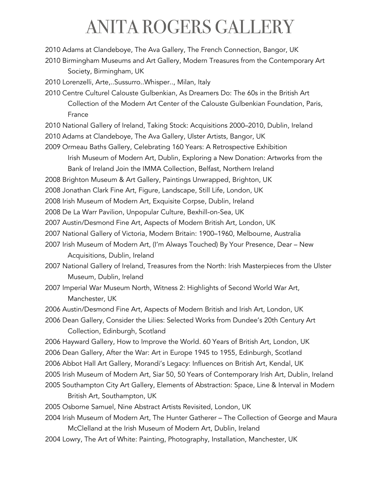2010 Adams at Clandeboye, The Ava Gallery, The French Connection, Bangor, UK

- 2010 Birmingham Museums and Art Gallery, Modern Treasures from the Contemporary Art Society, Birmingham, UK
- 2010 Lorenzelli, Arte,..Sussurro..Whisper.., Milan, Italy
- 2010 Centre Culturel Calouste Gulbenkian, As Dreamers Do: The 60s in the British Art Collection of the Modern Art Center of the Calouste Gulbenkian Foundation, Paris, France
- 2010 National Gallery of Ireland, Taking Stock: Acquisitions 2000–2010, Dublin, Ireland 2010 Adams at Clandeboye, The Ava Gallery, Ulster Artists, Bangor, UK
- 2009 Ormeau Baths Gallery, Celebrating 160 Years: A Retrospective Exhibition

Irish Museum of Modern Art, Dublin, Exploring a New Donation: Artworks from the Bank of Ireland Join the IMMA Collection, Belfast, Northern Ireland

- 2008 Brighton Museum & Art Gallery, Paintings Unwrapped, Brighton, UK
- 2008 Jonathan Clark Fine Art, Figure, Landscape, Still Life, London, UK
- 2008 Irish Museum of Modern Art, Exquisite Corpse, Dublin, Ireland
- 2008 De La Warr Pavilion, Unpopular Culture, Bexhill-on-Sea, UK
- 2007 Austin/Desmond Fine Art, Aspects of Modern British Art, London, UK
- 2007 National Gallery of Victoria, Modern Britain: 1900–1960, Melbourne, Australia
- 2007 Irish Museum of Modern Art, (I'm Always Touched) By Your Presence, Dear New Acquisitions, Dublin, Ireland
- 2007 National Gallery of Ireland, Treasures from the North: Irish Masterpieces from the Ulster Museum, Dublin, Ireland
- 2007 Imperial War Museum North, Witness 2: Highlights of Second World War Art, Manchester, UK
- 2006 Austin/Desmond Fine Art, Aspects of Modern British and Irish Art, London, UK
- 2006 Dean Gallery, Consider the Lilies: Selected Works from Dundee's 20th Century Art Collection, Edinburgh, Scotland
- 2006 Hayward Gallery, How to Improve the World. 60 Years of British Art, London, UK 2006 Dean Gallery, After the War: Art in Europe 1945 to 1955, Edinburgh, Scotland 2006 Abbot Hall Art Gallery, Morandi's Legacy: Influences on British Art, Kendal, UK 2005 Irish Museum of Modern Art, Siar 50, 50 Years of Contemporary Irish Art, Dublin, Ireland
- 2005 Southampton City Art Gallery, Elements of Abstraction: Space, Line & Interval in Modern British Art, Southampton, UK
- 2005 Osborne Samuel, Nine Abstract Artists Revisited, London, UK
- 2004 Irish Museum of Modern Art, The Hunter Gatherer The Collection of George and Maura McClelland at the Irish Museum of Modern Art, Dublin, Ireland
- 2004 Lowry, The Art of White: Painting, Photography, Installation, Manchester, UK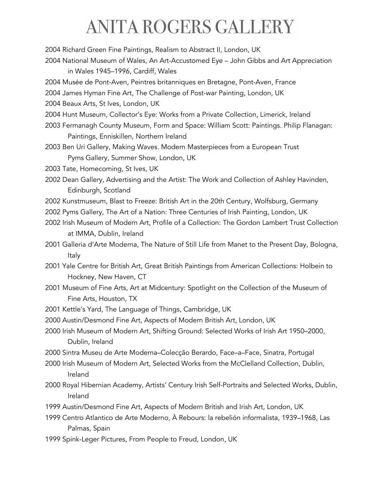2004 Richard Green Fine Paintings, Realism to Abstract II, London, UK 2004 National Museum of Wales, An Art-Accustomed Eye – John Gibbs and Art Appreciation in Wales 1945–1996, Cardiff, Wales

2004 Musée de Pont-Aven, Peintres britanniques en Bretagne, Pont-Aven, France

2004 James Hyman Fine Art, The Challenge of Post-war Painting, London, UK

2004 Beaux Arts, St Ives, London, UK

- 2004 Hunt Museum, Collector's Eye: Works from a Private Collection, Limerick, Ireland
- 2003 Fermanagh County Museum, Form and Space: William Scott: Paintings. Philip Flanagan: Paintings, Enniskillen, Northern Ireland
- 2003 Ben Uri Gallery, Making Waves. Modern Masterpieces from a European Trust Pyms Gallery, Summer Show, London, UK
- 2003 Tate, Homecoming, St Ives, UK
- 2002 Dean Gallery, Advertising and the Artist: The Work and Collection of Ashley Havinden, Edinburgh, Scotland
- 2002 Kunstmuseum, Blast to Freeze: British Art in the 20th Century, Wolfsburg, Germany
- 2002 Pyms Gallery, The Art of a Nation: Three Centuries of Irish Painting, London, UK
- 2002 Irish Museum of Modern Art, Profile of a Collection: The Gordon Lambert Trust Collection at IMMA, Dublin, Ireland
- 2001 Galleria d'Arte Moderna, The Nature of Still Life from Manet to the Present Day, Bologna, Italy
- 2001 Yale Centre for British Art, Great British Paintings from American Collections: Holbein to Hockney, New Haven, CT
- 2001 Museum of Fine Arts, Art at Midcentury: Spotlight on the Collection of the Museum of Fine Arts, Houston, TX
- 2001 Kettle's Yard, The Language of Things, Cambridge, UK
- 2000 Austin/Desmond Fine Art, Aspects of Modern British Art, London, UK
- 2000 Irish Museum of Modern Art, Shifting Ground: Selected Works of Irish Art 1950–2000, Dublin, Ireland
- 2000 Sintra Museu de Arte Moderna–Colecção Berardo, Face–a–Face, Sinatra, Portugal
- 2000 Irish Museum of Modern Art, Selected Works from the McClelland Collection, Dublin, Ireland
- 2000 Royal Hibernian Academy, Artists' Century Irish Self-Portraits and Selected Works, Dublin, Ireland
- 1999 Austin/Desmond Fine Art, Aspects of Modern British and Irish Art, London, UK
- 1999 Centro Atlantico de Arte Moderno, À Rebours: la rebelión informalista, 1939–1968, Las Palmas, Spain
- 1999 Spink-Leger Pictures, From People to Freud, London, UK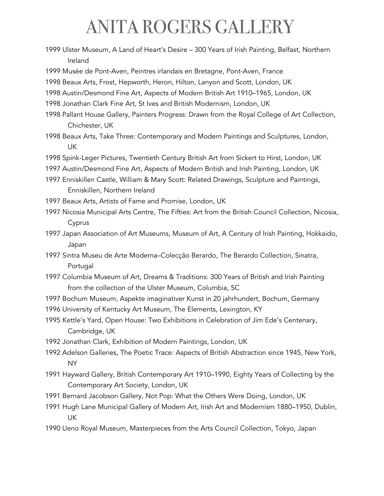1999 Ulster Museum, A Land of Heart's Desire – 300 Years of Irish Painting, Belfast, Northern Ireland

1999 Musée de Pont-Aven, Peintres irlandais en Bretagne, Pont-Aven, France

1998 Beaux Arts, Frost, Hepworth, Heron, Hilton, Lanyon and Scott, London, UK

1998 Austin/Desmond Fine Art, Aspects of Modern British Art 1910–1965, London, UK

1998 Jonathan Clark Fine Art, St Ives and British Modernism, London, UK

- 1998 Pallant House Gallery, Painters Progress: Drawn from the Royal College of Art Collection, Chichester, UK
- 1998 Beaux Arts, Take Three: Contemporary and Modern Paintings and Sculptures, London, UK
- 1998 Spink-Leger Pictures, Twentieth Century British Art from Sickert to Hirst, London, UK
- 1997 Austin/Desmond Fine Art, Aspects of Modern British and Irish Painting, London, UK
- 1997 Enniskillen Castle, William & Mary Scott: Related Drawings, Sculpture and Paintings, Enniskillen, Northern Ireland
- 1997 Beaux Arts, Artists of Fame and Promise, London, UK
- 1997 Nicosia Municipal Arts Centre, The Fifties: Art from the British Council Collection, Nicosia, Cyprus
- 1997 Japan Association of Art Museums, Museum of Art, A Century of Irish Painting, Hokkaido, Japan
- 1997 Sintra Museu de Arte Moderna–Colecção Berardo, The Berardo Collection, Sinatra, Portugal
- 1997 Columbia Museum of Art, Dreams & Traditions: 300 Years of British and Irish Painting from the collection of the Ulster Museum, Columbia, SC
- 1997 Bochum Museum, Aspekte imaginativer Kunst in 20 jahrhundert, Bochum, Germany
- 1996 University of Kentucky Art Museum, The Elements, Lexington, KY
- 1995 Kettle's Yard, Open House: Two Exhibitions in Celebration of Jim Ede's Centenary, Cambridge, UK
- 1992 Jonathan Clark, Exhibition of Modern Paintings, London, UK
- 1992 Adelson Galleries, The Poetic Trace: Aspects of British Abstraction since 1945, New York, NY
- 1991 Hayward Gallery, British Contemporary Art 1910–1990, Eighty Years of Collecting by the Contemporary Art Society, London, UK
- 1991 Bernard Jacobson Gallery, Not Pop: What the Others Were Doing, London, UK
- 1991 Hugh Lane Municipal Gallery of Modern Art, Irish Art and Modernism 1880–1950, Dublin, UK
- 1990 Ueno Royal Museum, Masterpieces from the Arts Council Collection, Tokyo, Japan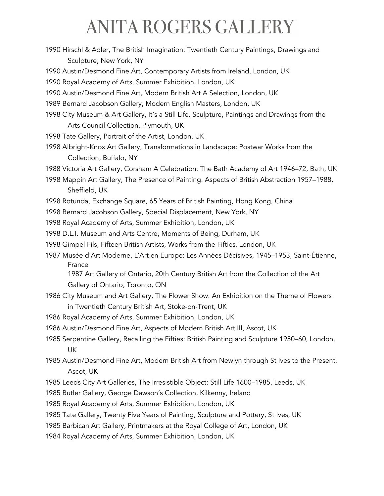1990 Hirschl & Adler, The British Imagination: Twentieth Century Paintings, Drawings and Sculpture, New York, NY

1990 Austin/Desmond Fine Art, Contemporary Artists from Ireland, London, UK

1990 Royal Academy of Arts, Summer Exhibition, London, UK

1990 Austin/Desmond Fine Art, Modern British Art A Selection, London, UK

1989 Bernard Jacobson Gallery, Modern English Masters, London, UK

1998 City Museum & Art Gallery, It's a Still Life. Sculpture, Paintings and Drawings from the Arts Council Collection, Plymouth, UK

1998 Tate Gallery, Portrait of the Artist, London, UK

1998 Albright-Knox Art Gallery, Transformations in Landscape: Postwar Works from the Collection, Buffalo, NY

1988 Victoria Art Gallery, Corsham A Celebration: The Bath Academy of Art 1946–72, Bath, UK

- 1998 Mappin Art Gallery, The Presence of Painting. Aspects of British Abstraction 1957–1988, Sheffield, UK
- 1998 Rotunda, Exchange Square, 65 Years of British Painting, Hong Kong, China
- 1998 Bernard Jacobson Gallery, Special Displacement, New York, NY

1998 Royal Academy of Arts, Summer Exhibition, London, UK

1998 D.L.I. Museum and Arts Centre, Moments of Being, Durham, UK

- 1998 Gimpel Fils, Fifteen British Artists, Works from the Fifties, London, UK
- 1987 Musée d'Art Moderne, L'Art en Europe: Les Années Décisives, 1945–1953, Saint-Étienne, France

1987 Art Gallery of Ontario, 20th Century British Art from the Collection of the Art Gallery of Ontario, Toronto, ON

- 1986 City Museum and Art Gallery, The Flower Show: An Exhibition on the Theme of Flowers in Twentieth Century British Art, Stoke-on-Trent, UK
- 1986 Royal Academy of Arts, Summer Exhibition, London, UK
- 1986 Austin/Desmond Fine Art, Aspects of Modern British Art III, Ascot, UK
- 1985 Serpentine Gallery, Recalling the Fifties: British Painting and Sculpture 1950–60, London, UK

1985 Austin/Desmond Fine Art, Modern British Art from Newlyn through St Ives to the Present, Ascot, UK

1985 Leeds City Art Galleries, The Irresistible Object: Still Life 1600–1985, Leeds, UK

1985 Butler Gallery, George Dawson's Collection, Kilkenny, Ireland

1985 Royal Academy of Arts, Summer Exhibition, London, UK

1985 Tate Gallery, Twenty Five Years of Painting, Sculpture and Pottery, St Ives, UK

1985 Barbican Art Gallery, Printmakers at the Royal College of Art, London, UK

1984 Royal Academy of Arts, Summer Exhibition, London, UK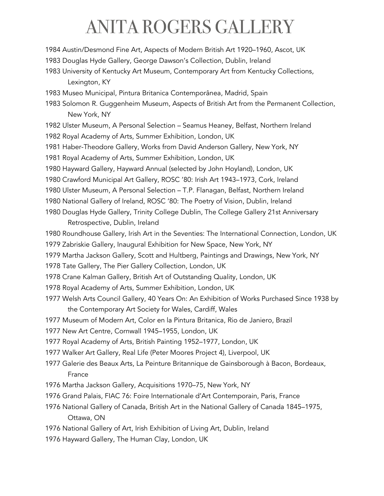1984 Austin/Desmond Fine Art, Aspects of Modern British Art 1920–1960, Ascot, UK

1983 Douglas Hyde Gallery, George Dawson's Collection, Dublin, Ireland

1983 University of Kentucky Art Museum, Contemporary Art from Kentucky Collections, Lexington, KY

1983 Museo Municipal, Pintura Britanica Contemporânea, Madrid, Spain

- 1983 Solomon R. Guggenheim Museum, Aspects of British Art from the Permanent Collection, New York, NY
- 1982 Ulster Museum, A Personal Selection Seamus Heaney, Belfast, Northern Ireland

1982 Royal Academy of Arts, Summer Exhibition, London, UK

1981 Haber-Theodore Gallery, Works from David Anderson Gallery, New York, NY

1981 Royal Academy of Arts, Summer Exhibition, London, UK

1980 Hayward Gallery, Hayward Annual (selected by John Hoyland), London, UK

1980 Crawford Municipal Art Gallery, ROSC '80: Irish Art 1943–1973, Cork, Ireland

1980 Ulster Museum, A Personal Selection – T.P. Flanagan, Belfast, Northern Ireland

1980 National Gallery of Ireland, ROSC '80: The Poetry of Vision, Dublin, Ireland

- 1980 Douglas Hyde Gallery, Trinity College Dublin, The College Gallery 21st Anniversary Retrospective, Dublin, Ireland
- 1980 Roundhouse Gallery, Irish Art in the Seventies: The International Connection, London, UK 1979 Zabriskie Gallery, Inaugural Exhibition for New Space, New York, NY
- 1979 Martha Jackson Gallery, Scott and Hultberg, Paintings and Drawings, New York, NY
- 1978 Tate Gallery, The Pier Gallery Collection, London, UK
- 1978 Crane Kalman Gallery, British Art of Outstanding Quality, London, UK
- 1978 Royal Academy of Arts, Summer Exhibition, London, UK
- 1977 Welsh Arts Council Gallery, 40 Years On: An Exhibition of Works Purchased Since 1938 by the Contemporary Art Society for Wales, Cardiff, Wales
- 1977 Museum of Modern Art, Color en la Pintura Britanica, Rio de Janiero, Brazil
- 1977 New Art Centre, Cornwall 1945–1955, London, UK
- 1977 Royal Academy of Arts, British Painting 1952–1977, London, UK

1977 Walker Art Gallery, Real Life (Peter Moores Project 4), Liverpool, UK

- 1977 Galerie des Beaux Arts, La Peinture Britannique de Gainsborough à Bacon, Bordeaux, France
- 1976 Martha Jackson Gallery, Acquisitions 1970–75, New York, NY
- 1976 Grand Palais, FIAC 76: Foire Internationale d'Art Contemporain, Paris, France
- 1976 National Gallery of Canada, British Art in the National Gallery of Canada 1845–1975, Ottawa, ON
- 1976 National Gallery of Art, Irish Exhibition of Living Art, Dublin, Ireland
- 1976 Hayward Gallery, The Human Clay, London, UK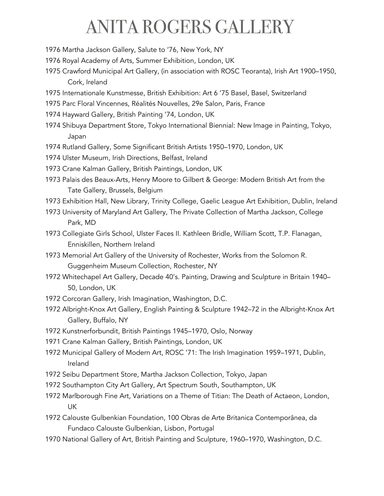- 1976 Martha Jackson Gallery, Salute to '76, New York, NY
- 1976 Royal Academy of Arts, Summer Exhibition, London, UK
- 1975 Crawford Municipal Art Gallery, (in association with ROSC Teoranta), Irish Art 1900–1950, Cork, Ireland
- 1975 Internationale Kunstmesse, British Exhibition: Art 6 '75 Basel, Basel, Switzerland
- 1975 Parc Floral Vincennes, Réalités Nouvelles, 29e Salon, Paris, France
- 1974 Hayward Gallery, British Painting '74, London, UK
- 1974 Shibuya Department Store, Tokyo International Biennial: New Image in Painting, Tokyo, Japan
- 1974 Rutland Gallery, Some Significant British Artists 1950–1970, London, UK
- 1974 Ulster Museum, Irish Directions, Belfast, Ireland
- 1973 Crane Kalman Gallery, British Paintings, London, UK
- 1973 Palais des Beaux-Arts, Henry Moore to Gilbert & George: Modern British Art from the Tate Gallery, Brussels, Belgium
- 1973 Exhibition Hall, New Library, Trinity College, Gaelic League Art Exhibition, Dublin, Ireland
- 1973 University of Maryland Art Gallery, The Private Collection of Martha Jackson, College Park, MD
- 1973 Collegiate Girls School, Ulster Faces II. Kathleen Bridle, William Scott, T.P. Flanagan, Enniskillen, Northern Ireland
- 1973 Memorial Art Gallery of the University of Rochester, Works from the Solomon R. Guggenheim Museum Collection, Rochester, NY
- 1972 Whitechapel Art Gallery, Decade 40's. Painting, Drawing and Sculpture in Britain 1940– 50, London, UK
- 1972 Corcoran Gallery, Irish Imagination, Washington, D.C.
- 1972 Albright-Knox Art Gallery, English Painting & Sculpture 1942–72 in the Albright-Knox Art Gallery, Buffalo, NY
- 1972 Kunstnerforbundit, British Paintings 1945–1970, Oslo, Norway
- 1971 Crane Kalman Gallery, British Paintings, London, UK
- 1972 Municipal Gallery of Modern Art, ROSC '71: The Irish Imagination 1959–1971, Dublin, Ireland
- 1972 Seibu Department Store, Martha Jackson Collection, Tokyo, Japan
- 1972 Southampton City Art Gallery, Art Spectrum South, Southampton, UK
- 1972 Marlborough Fine Art, Variations on a Theme of Titian: The Death of Actaeon, London, UK
- 1972 Calouste Gulbenkian Foundation, 100 Obras de Arte Britanica Contemporânea, da Fundaco Calouste Gulbenkian, Lisbon, Portugal
- 1970 National Gallery of Art, British Painting and Sculpture, 1960–1970, Washington, D.C.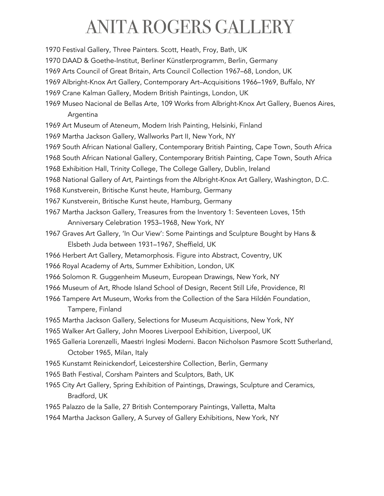1970 Festival Gallery, Three Painters. Scott, Heath, Froy, Bath, UK

- 1970 DAAD & Goethe-Institut, Berliner Künstlerprogramm, Berlin, Germany
- 1969 Arts Council of Great Britain, Arts Council Collection 1967–68, London, UK
- 1969 Albright-Knox Art Gallery, Contemporary Art–Acquisitions 1966–1969, Buffalo, NY
- 1969 Crane Kalman Gallery, Modern British Paintings, London, UK
- 1969 Museo Nacional de Bellas Arte, 109 Works from Albright-Knox Art Gallery, Buenos Aires, Argentina
- 1969 Art Museum of Ateneum, Modern Irish Painting, Helsinki, Finland
- 1969 Martha Jackson Gallery, Wallworks Part II, New York, NY
- 1969 South African National Gallery, Contemporary British Painting, Cape Town, South Africa
- 1968 South African National Gallery, Contemporary British Painting, Cape Town, South Africa
- 1968 Exhibition Hall, Trinity College, The College Gallery, Dublin, Ireland
- 1968 National Gallery of Art, Paintings from the Albright-Knox Art Gallery, Washington, D.C.
- 1968 Kunstverein, Britische Kunst heute, Hamburg, Germany
- 1967 Kunstverein, Britische Kunst heute, Hamburg, Germany
- 1967 Martha Jackson Gallery, Treasures from the Inventory 1: Seventeen Loves, 15th Anniversary Celebration 1953–1968, New York, NY
- 1967 Graves Art Gallery, 'In Our View': Some Paintings and Sculpture Bought by Hans & Elsbeth Juda between 1931–1967, Sheffield, UK
- 1966 Herbert Art Gallery, Metamorphosis. Figure into Abstract, Coventry, UK
- 1966 Royal Academy of Arts, Summer Exhibition, London, UK
- 1966 Solomon R. Guggenheim Museum, European Drawings, New York, NY
- 1966 Museum of Art, Rhode Island School of Design, Recent Still Life, Providence, RI
- 1966 Tampere Art Museum, Works from the Collection of the Sara Hildén Foundation, Tampere, Finland
- 1965 Martha Jackson Gallery, Selections for Museum Acquisitions, New York, NY
- 1965 Walker Art Gallery, John Moores Liverpool Exhibition, Liverpool, UK
- 1965 Galleria Lorenzelli, Maestri Inglesi Moderni. Bacon Nicholson Pasmore Scott Sutherland, October 1965, Milan, Italy
- 1965 Kunstamt Reinickendorf, Leicestershire Collection, Berlin, Germany
- 1965 Bath Festival, Corsham Painters and Sculptors, Bath, UK
- 1965 City Art Gallery, Spring Exhibition of Paintings, Drawings, Sculpture and Ceramics, Bradford, UK
- 1965 Palazzo de la Salle, 27 British Contemporary Paintings, Valletta, Malta
- 1964 Martha Jackson Gallery, A Survey of Gallery Exhibitions, New York, NY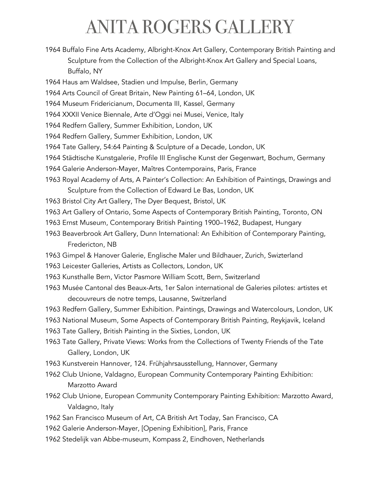- 1964 Buffalo Fine Arts Academy, Albright-Knox Art Gallery, Contemporary British Painting and Sculpture from the Collection of the Albright-Knox Art Gallery and Special Loans, Buffalo, NY
- 1964 Haus am Waldsee, Stadien und Impulse, Berlin, Germany
- 1964 Arts Council of Great Britain, New Painting 61–64, London, UK
- 1964 Museum Fridericianum, Documenta III, Kassel, Germany
- 1964 XXXII Venice Biennale, Arte d'Oggi nei Musei, Venice, Italy
- 1964 Redfern Gallery, Summer Exhibition, London, UK
- 1964 Redfern Gallery, Summer Exhibition, London, UK
- 1964 Tate Gallery, 54:64 Painting & Sculpture of a Decade, London, UK
- 1964 Städtische Kunstgalerie, Profile III Englische Kunst der Gegenwart, Bochum, Germany
- 1964 Galerie Anderson-Mayer, Maîtres Contemporains, Paris, France
- 1963 Royal Academy of Arts, A Painter's Collection: An Exhibition of Paintings, Drawings and Sculpture from the Collection of Edward Le Bas, London, UK
- 1963 Bristol City Art Gallery, The Dyer Bequest, Bristol, UK
- 1963 Art Gallery of Ontario, Some Aspects of Contemporary British Painting, Toronto, ON
- 1963 Ernst Museum, Contemporary British Painting 1900–1962, Budapest, Hungary
- 1963 Beaverbrook Art Gallery, Dunn International: An Exhibition of Contemporary Painting, Fredericton, NB
- 1963 Gimpel & Hanover Galerie, Englische Maler und Bildhauer, Zurich, Swizterland
- 1963 Leicester Galleries, Artists as Collectors, London, UK
- 1963 Kunsthalle Bern, Victor Pasmore William Scott, Bern, Switzerland
- 1963 Musée Cantonal des Beaux-Arts, 1er Salon international de Galeries pilotes: artistes et decouvreurs de notre temps, Lausanne, Switzerland
- 1963 Redfern Gallery, Summer Exhibition. Paintings, Drawings and Watercolours, London, UK
- 1963 National Museum, Some Aspects of Contemporary British Painting, Reykjavik, Iceland
- 1963 Tate Gallery, British Painting in the Sixties, London, UK
- 1963 Tate Gallery, Private Views: Works from the Collections of Twenty Friends of the Tate Gallery, London, UK
- 1963 Kunstverein Hannover, 124. Frühjahrsausstellung, Hannover, Germany
- 1962 Club Unione, Valdagno, European Community Contemporary Painting Exhibition: Marzotto Award
- 1962 Club Unione, European Community Contemporary Painting Exhibition: Marzotto Award, Valdagno, Italy
- 1962 San Francisco Museum of Art, CA British Art Today, San Francisco, CA
- 1962 Galerie Anderson-Mayer, [Opening Exhibition], Paris, France
- 1962 Stedelijk van Abbe-museum, Kompass 2, Eindhoven, Netherlands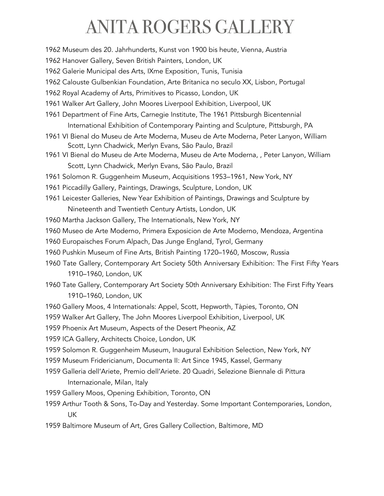1962 Museum des 20. Jahrhunderts, Kunst von 1900 bis heute, Vienna, Austria

1962 Hanover Gallery, Seven British Painters, London, UK

1962 Galerie Municipal des Arts, IXme Exposition, Tunis, Tunisia

1962 Calouste Gulbenkian Foundation, Arte Britanica no seculo XX, Lisbon, Portugal

1962 Royal Academy of Arts, Primitives to Picasso, London, UK

1961 Walker Art Gallery, John Moores Liverpool Exhibition, Liverpool, UK

- 1961 Department of Fine Arts, Carnegie Institute, The 1961 Pittsburgh Bicentennial International Exhibition of Contemporary Painting and Sculpture, Pittsburgh, PA
- 1961 VI Bienal do Museu de Arte Moderna, Museu de Arte Moderna, Peter Lanyon, William Scott, Lynn Chadwick, Merlyn Evans, São Paulo, Brazil
- 1961 VI Bienal do Museu de Arte Moderna, Museu de Arte Moderna, , Peter Lanyon, William Scott, Lynn Chadwick, Merlyn Evans, São Paulo, Brazil

1961 Solomon R. Guggenheim Museum, Acquisitions 1953–1961, New York, NY

- 1961 Piccadilly Gallery, Paintings, Drawings, Sculpture, London, UK
- 1961 Leicester Galleries, New Year Exhibition of Paintings, Drawings and Sculpture by Nineteenth and Twentieth Century Artists, London, UK
- 1960 Martha Jackson Gallery, The Internationals, New York, NY
- 1960 Museo de Arte Moderno, Primera Exposicion de Arte Moderno, Mendoza, Argentina
- 1960 Europaisches Forum Alpach, Das Junge England, Tyrol, Germany
- 1960 Pushkin Museum of Fine Arts, British Painting 1720–1960, Moscow, Russia
- 1960 Tate Gallery, Contemporary Art Society 50th Anniversary Exhibition: The First Fifty Years 1910–1960, London, UK
- 1960 Tate Gallery, Contemporary Art Society 50th Anniversary Exhibition: The First Fifty Years 1910–1960, London, UK
- 1960 Gallery Moos, 4 Internationals: Appel, Scott, Hepworth, Tàpies, Toronto, ON
- 1959 Walker Art Gallery, The John Moores Liverpool Exhibition, Liverpool, UK
- 1959 Phoenix Art Museum, Aspects of the Desert Pheonix, AZ
- 1959 ICA Gallery, Architects Choice, London, UK
- 1959 Solomon R. Guggenheim Museum, Inaugural Exhibition Selection, New York, NY
- 1959 Museum Fridericianum, Documenta II: Art Since 1945, Kassel, Germany
- 1959 Galleria dell'Ariete, Premio dell'Ariete. 20 Quadri, Selezione Biennale di Pittura Internazionale, Milan, Italy
- 1959 Gallery Moos, Opening Exhibition, Toronto, ON
- 1959 Arthur Tooth & Sons, To-Day and Yesterday. Some Important Contemporaries, London, UK
- 1959 Baltimore Museum of Art, Gres Gallery Collection, Baltimore, MD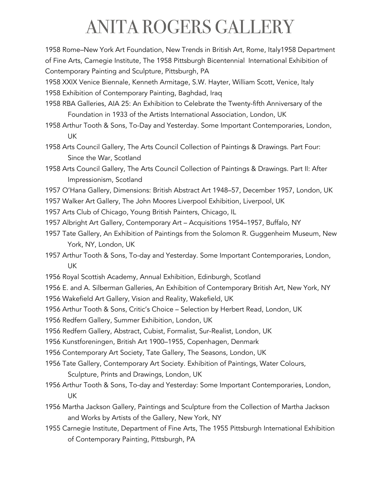1958 Rome–New York Art Foundation, New Trends in British Art, Rome, Italy1958 Department of Fine Arts, Carnegie Institute, The 1958 Pittsburgh Bicentennial International Exhibition of Contemporary Painting and Sculpture, Pittsburgh, PA

1958 XXIX Venice Biennale, Kenneth Armitage, S.W. Hayter, William Scott, Venice, Italy

1958 Exhibition of Contemporary Painting, Baghdad, Iraq

- 1958 RBA Galleries, AIA 25: An Exhibition to Celebrate the Twenty-fifth Anniversary of the Foundation in 1933 of the Artists International Association, London, UK
- 1958 Arthur Tooth & Sons, To-Day and Yesterday. Some Important Contemporaries, London, UK
- 1958 Arts Council Gallery, The Arts Council Collection of Paintings & Drawings. Part Four: Since the War, Scotland
- 1958 Arts Council Gallery, The Arts Council Collection of Paintings & Drawings. Part II: After Impressionism, Scotland
- 1957 O'Hana Gallery, Dimensions: British Abstract Art 1948–57, December 1957, London, UK
- 1957 Walker Art Gallery, The John Moores Liverpool Exhibition, Liverpool, UK
- 1957 Arts Club of Chicago, Young British Painters, Chicago, IL
- 1957 Albright Art Gallery, Contemporary Art Acquisitions 1954–1957, Buffalo, NY
- 1957 Tate Gallery, An Exhibition of Paintings from the Solomon R. Guggenheim Museum, New York, NY, London, UK
- 1957 Arthur Tooth & Sons, To-day and Yesterday. Some Important Contemporaries, London, UK
- 1956 Royal Scottish Academy, Annual Exhibition, Edinburgh, Scotland
- 1956 E. and A. Silberman Galleries, An Exhibition of Contemporary British Art, New York, NY
- 1956 Wakefield Art Gallery, Vision and Reality, Wakefield, UK
- 1956 Arthur Tooth & Sons, Critic's Choice Selection by Herbert Read, London, UK
- 1956 Redfern Gallery, Summer Exhibition, London, UK
- 1956 Redfern Gallery, Abstract, Cubist, Formalist, Sur-Realist, London, UK
- 1956 Kunstforeningen, British Art 1900–1955, Copenhagen, Denmark
- 1956 Contemporary Art Society, Tate Gallery, The Seasons, London, UK
- 1956 Tate Gallery, Contemporary Art Society. Exhibition of Paintings, Water Colours, Sculpture, Prints and Drawings, London, UK
- 1956 Arthur Tooth & Sons, To-day and Yesterday: Some Important Contemporaries, London, UK
- 1956 Martha Jackson Gallery, Paintings and Sculpture from the Collection of Martha Jackson and Works by Artists of the Gallery, New York, NY
- 1955 Carnegie Institute, Department of Fine Arts, The 1955 Pittsburgh International Exhibition of Contemporary Painting, Pittsburgh, PA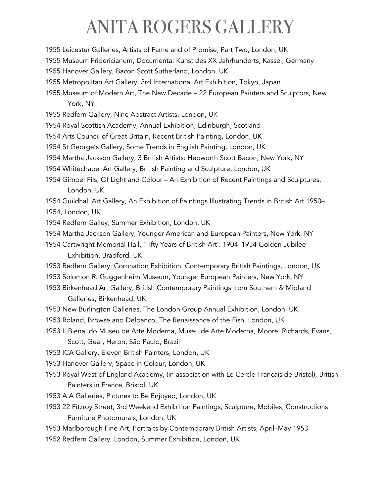- 1955 Leicester Galleries, Artists of Fame and of Promise, Part Two, London, UK
- 1955 Museum Fridericianum, Documenta: Kunst des XX Jahrhunderts, Kassel, Germany
- 1955 Hanover Gallery, Bacon Scott Sutherland, London, UK
- 1955 Metropolitan Art Gallery, 3rd International Art Exhibition, Tokyo, Japan
- 1955 Museum of Modern Art, The New Decade 22 European Painters and Sculptors, New York, NY
- 1955 Redfern Gallery, Nine Abstract Artists, London, UK
- 1954 Royal Scottish Academy, Annual Exhibition, Edinburgh, Scotland
- 1954 Arts Council of Great Britain, Recent British Painting, London, UK
- 1954 St George's Gallery, Some Trends in English Painting, London, UK
- 1954 Martha Jackson Gallery, 3 British Artists: Hepworth Scott Bacon, New York, NY
- 1954 Whitechapel Art Gallery, British Painting and Sculpture, London, UK
- 1954 Gimpel Fils, Of Light and Colour An Exhibition of Recent Paintings and Sculptures, London, UK

1954 Guildhall Art Gallery, An Exhibition of Paintings Illustrating Trends in British Art 1950– 1954, London, UK

- 1954 Redfern Galley, Summer Exhibition, London, UK
- 1954 Martha Jackson Gallery, Younger American and European Painters, New York, NY
- 1954 Cartwright Memorial Hall, 'Fifty Years of British Art'. 1904–1954 Golden Jubilee Exhibition, Bradford, UK
- 1953 Redfern Gallery, Coronation Exhibition. Contemporary British Paintings, London, UK
- 1953 Solomon R. Guggenheim Museum, Younger European Painters, New York, NY
- 1953 Birkenhead Art Gallery, British Contemporary Paintings from Southern & Midland Galleries, Birkenhead, UK
- 1953 New Burlington Galleries, The London Group Annual Exhibition, London, UK
- 1953 Roland, Browse and Delbanco, The Renaissance of the Fish, London, UK
- 1953 II Bienal do Museu de Arte Moderna, Museu de Arte Moderna, Moore, Richards, Evans, Scott, Gear, Heron, São Paulo, Brazil
- 1953 ICA Gallery, Eleven British Painters, London, UK
- 1953 Hanover Gallery, Space in Colour, London, UK
- 1953 Royal West of England Academy, (in association with Le Cercle Français de Bristol), British Painters in France, Bristol, UK
- 1953 AIA Galleries, Pictures to Be Enjoyed, London, UK
- 1953 22 Fitzroy Street, 3rd Weekend Exhibition Paintings, Sculpture, Mobiles, Constructions Furniture Photomurals, London, UK
- 1953 Marlborough Fine Art, Portraits by Contemporary British Artists, April–May 1953
- 1952 Redfern Gallery, London, Summer Exhibition, London, UK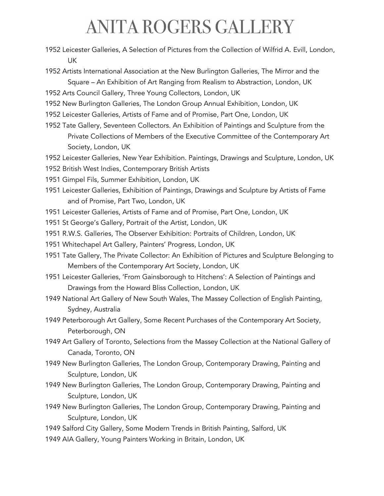- 1952 Leicester Galleries, A Selection of Pictures from the Collection of Wilfrid A. Evill, London, UK
- 1952 Artists International Association at the New Burlington Galleries, The Mirror and the Square – An Exhibition of Art Ranging from Realism to Abstraction, London, UK
- 1952 Arts Council Gallery, Three Young Collectors, London, UK
- 1952 New Burlington Galleries, The London Group Annual Exhibition, London, UK
- 1952 Leicester Galleries, Artists of Fame and of Promise, Part One, London, UK
- 1952 Tate Gallery, Seventeen Collectors. An Exhibition of Paintings and Sculpture from the Private Collections of Members of the Executive Committee of the Contemporary Art Society, London, UK
- 1952 Leicester Galleries, New Year Exhibition. Paintings, Drawings and Sculpture, London, UK
- 1952 British West Indies, Contemporary British Artists
- 1951 Gimpel Fils, Summer Exhibition, London, UK
- 1951 Leicester Galleries, Exhibition of Paintings, Drawings and Sculpture by Artists of Fame and of Promise, Part Two, London, UK
- 1951 Leicester Galleries, Artists of Fame and of Promise, Part One, London, UK
- 1951 St George's Gallery, Portrait of the Artist, London, UK
- 1951 R.W.S. Galleries, The Observer Exhibition: Portraits of Children, London, UK
- 1951 Whitechapel Art Gallery, Painters' Progress, London, UK
- 1951 Tate Gallery, The Private Collector: An Exhibition of Pictures and Sculpture Belonging to Members of the Contemporary Art Society, London, UK
- 1951 Leicester Galleries, 'From Gainsborough to Hitchens': A Selection of Paintings and Drawings from the Howard Bliss Collection, London, UK
- 1949 National Art Gallery of New South Wales, The Massey Collection of English Painting, Sydney, Australia
- 1949 Peterborough Art Gallery, Some Recent Purchases of the Contemporary Art Society, Peterborough, ON
- 1949 Art Gallery of Toronto, Selections from the Massey Collection at the National Gallery of Canada, Toronto, ON
- 1949 New Burlington Galleries, The London Group, Contemporary Drawing, Painting and Sculpture, London, UK
- 1949 New Burlington Galleries, The London Group, Contemporary Drawing, Painting and Sculpture, London, UK
- 1949 New Burlington Galleries, The London Group, Contemporary Drawing, Painting and Sculpture, London, UK
- 1949 Salford City Gallery, Some Modern Trends in British Painting, Salford, UK
- 1949 AIA Gallery, Young Painters Working in Britain, London, UK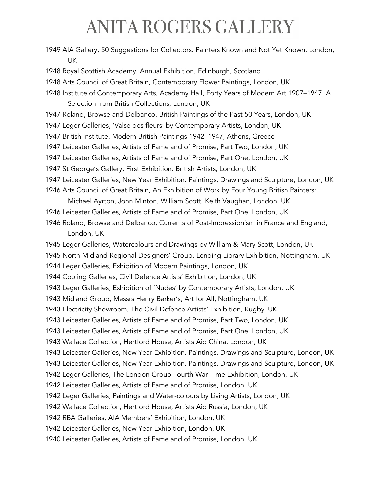| 1949 AIA Gallery, 50 Suggestions for Collectors. Painters Known and Not Yet Known, London,<br><b>UK</b>                                     |
|---------------------------------------------------------------------------------------------------------------------------------------------|
| 1948 Royal Scottish Academy, Annual Exhibition, Edinburgh, Scotland                                                                         |
| 1948 Arts Council of Great Britain, Contemporary Flower Paintings, London, UK                                                               |
| 1948 Institute of Contemporary Arts, Academy Hall, Forty Years of Modern Art 1907-1947. A<br>Selection from British Collections, London, UK |
| 1947 Roland, Browse and Delbanco, British Paintings of the Past 50 Years, London, UK                                                        |
| 1947 Leger Galleries, 'Valse des fleurs' by Contemporary Artists, London, UK                                                                |
| 1947 British Institute, Modern British Paintings 1942-1947, Athens, Greece                                                                  |
| 1947 Leicester Galleries, Artists of Fame and of Promise, Part Two, London, UK                                                              |
| 1947 Leicester Galleries, Artists of Fame and of Promise, Part One, London, UK                                                              |
| 1947 St George's Gallery, First Exhibition. British Artists, London, UK                                                                     |
| 1947 Leicester Galleries, New Year Exhibition. Paintings, Drawings and Sculpture, London, UK                                                |
| 1946 Arts Council of Great Britain, An Exhibition of Work by Four Young British Painters:                                                   |
| Michael Ayrton, John Minton, William Scott, Keith Vaughan, London, UK                                                                       |
| 1946 Leicester Galleries, Artists of Fame and of Promise, Part One, London, UK                                                              |
| 1946 Roland, Browse and Delbanco, Currents of Post-Impressionism in France and England,<br>London, UK                                       |
| 1945 Leger Galleries, Watercolours and Drawings by William & Mary Scott, London, UK                                                         |
| 1945 North Midland Regional Designers' Group, Lending Library Exhibition, Nottingham, UK                                                    |
| 1944 Leger Galleries, Exhibition of Modern Paintings, London, UK                                                                            |
| 1944 Cooling Galleries, Civil Defence Artists' Exhibition, London, UK                                                                       |
| 1943 Leger Galleries, Exhibition of 'Nudes' by Contemporary Artists, London, UK                                                             |
| 1943 Midland Group, Messrs Henry Barker's, Art for All, Nottingham, UK                                                                      |
| 1943 Electricity Showroom, The Civil Defence Artists' Exhibition, Rugby, UK                                                                 |
| 1943 Leicester Galleries, Artists of Fame and of Promise, Part Two, London, UK                                                              |
| 1943 Leicester Galleries, Artists of Fame and of Promise, Part One, London, UK                                                              |
| 1943 Wallace Collection, Hertford House, Artists Aid China, London, UK                                                                      |
| 1943 Leicester Galleries, New Year Exhibition. Paintings, Drawings and Sculpture, London, UK                                                |
| 1943 Leicester Galleries, New Year Exhibition. Paintings, Drawings and Sculpture, London, UK                                                |
| 1942 Leger Galleries, The London Group Fourth War-Time Exhibition, London, UK                                                               |
| 1942 Leicester Galleries, Artists of Fame and of Promise, London, UK                                                                        |
| 1942 Leger Galleries, Paintings and Water-colours by Living Artists, London, UK                                                             |
| 1942 Wallace Collection, Hertford House, Artists Aid Russia, London, UK                                                                     |
| 1942 RBA Galleries, AIA Members' Exhibition, London, UK                                                                                     |
| 1942 Leicester Galleries, New Year Exhibition, London, UK                                                                                   |
| 1940 Leicester Galleries, Artists of Fame and of Promise, London, UK                                                                        |